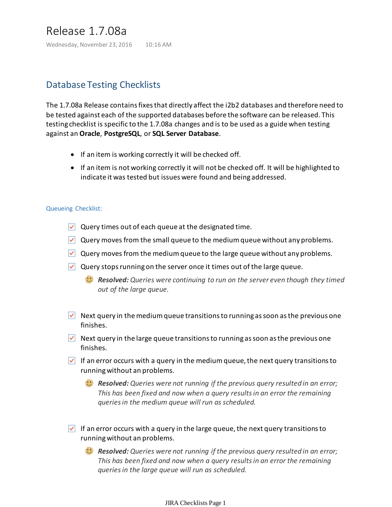# Release 1.7.08a

Wednesday, November 23, 2016 10:16 AM

## Database Testing Checklists

The 1.7.08a Release contains fixes that directly affect the i2b2 databases and therefore need to be tested against each of the supported databases before the software can be released. This testing checklist is specific to the 1.7.08a changes and is to be used as a guide when testing against an **Oracle**, **PostgreSQL**, or **SQL Server Database**.

- If an item is working correctly it will be checked off.
- If an item is not working correctly it will not be checked off. It will be highlighted to indicate it was tested but issues were found and being addressed.

#### Queueing Checklist:

- $\vee$  Query times out of each queue at the designated time.
- $\vee$  Query moves from the small queue to the medium queue without any problems.
- $\vee$  Query moves from the medium queue to the large queue without any problems.
- $\triangledown$  Query stops running on the server once it times out of the large queue.
	- *Resolved: Queries were continuing to run on the server even though they timed out of the large queue.*
- $\vee$  Next query in the medium queue transitions to running as soon as the previous one finishes.
- $\vee$  Next query in the large queue transitions to running as soon as the previous one finishes.
- If an error occurs with a query in the medium queue, the next query transitions to running without an problems.

*Resolved: Queries were not running if the previous query resulted in an error; This has been fixed and now when a query results in an error the remaining queries in the medium queue will run as scheduled.*

 $\vee$  If an error occurs with a query in the large queue, the next query transitions to running without an problems.

*Resolved: Queries were not running if the previous query resulted in an error; This has been fixed and now when a query results in an error the remaining queries in the large queue will run as scheduled.*

#### JIRA Checklists Page 1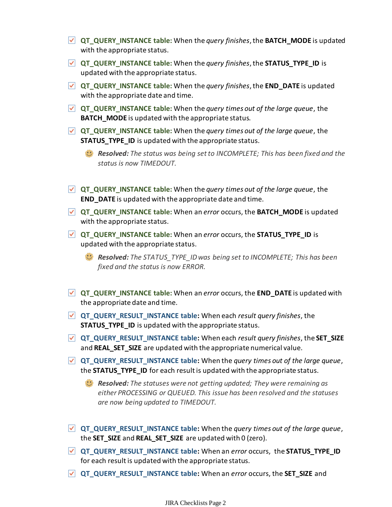- **QT\_QUERY\_INSTANCE table:** When the *query finishes*, the **BATCH\_MODE** is updated with the appropriate status.
- **QT\_QUERY\_INSTANCE table:** When the *query finishes*, the **STATUS\_TYPE\_ID** is updated with the appropriate status.
- **QT\_QUERY\_INSTANCE table:** When the *query finishes*, the **END\_DATE** is updated with the appropriate date and time.
- **QT\_QUERY\_INSTANCE table:** When the *query times out of the large queue*, the **BATCH** MODE is updated with the appropriate status.
- **QT\_QUERY\_INSTANCE table:** When the *query times out of the large queue*, the **STATUS TYPE ID** is updated with the appropriate status.

*Resolved: The status was being set to INCOMPLETE; This has been fixed and the status is now TIMEDOUT.*

- **QT\_QUERY\_INSTANCE table:** When the *query times out of the large queue*, the **END DATE** is updated with the appropriate date and time.
- **QT\_QUERY\_INSTANCE table:** When an *error* occurs, the **BATCH\_MODE** is updated with the appropriate status.
- **QT\_QUERY\_INSTANCE table:** When an *error* occurs, the **STATUS\_TYPE\_ID** is updated with the appropriate status.
	- *Resolved: The STATUS\_TYPE\_ID was being set to INCOMPLETE; This has been fixed and the status is now ERROR.*
- **QT\_QUERY\_INSTANCE table:** When an *error* occurs, the **END\_DATE** is updated with the appropriate date and time.
- **QT\_QUERY\_RESULT\_INSTANCE table:** When each *result query finishes*, the **STATUS\_TYPE\_ID** is updated with the appropriate status.
- **QT\_QUERY\_RESULT\_INSTANCE table:** When each *result query finishes*, the **SET\_SIZE** and **REAL\_SET\_SIZE** are updated with the appropriate numerical value.
- **QT\_QUERY\_RESULT\_INSTANCE table:** When the *query times out of the large queue*, the **STATUS TYPE ID** for each result is updated with the appropriate status.
	- *Resolved: The statuses were not getting updated; They were remaining as either PROCESSING or QUEUED. This issue has been resolved and the statuses are now being updated to TIMEDOUT.*
- **QT\_QUERY\_RESULT\_INSTANCE table:** When the *query times out of the large queue*, the **SET\_SIZE** and **REAL\_SET\_SIZE** are updated with 0 (zero).
- **QT\_QUERY\_RESULT\_INSTANCE table:** When an *error* occurs, the **STATUS\_TYPE\_ID** for each result is updated with the appropriate status.
- **QT\_QUERY\_RESULT\_INSTANCE table:** When an *error* occurs, the **SET\_SIZE** and